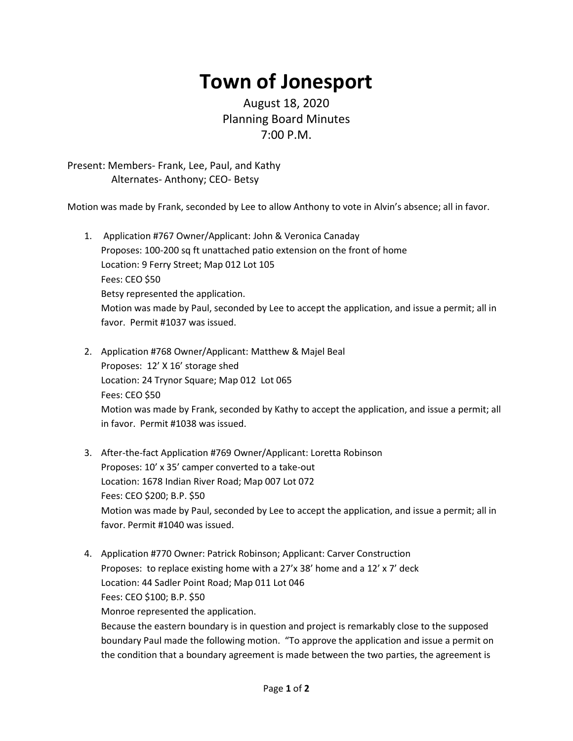## **Town of Jonesport**

## August 18, 2020 Planning Board Minutes 7:00 P.M.

Present: Members- Frank, Lee, Paul, and Kathy Alternates- Anthony; CEO- Betsy

Motion was made by Frank, seconded by Lee to allow Anthony to vote in Alvin's absence; all in favor.

- 1. Application #767 Owner/Applicant: John & Veronica Canaday Proposes: 100-200 sq ft unattached patio extension on the front of home Location: 9 Ferry Street; Map 012 Lot 105 Fees: CEO \$50 Betsy represented the application. Motion was made by Paul, seconded by Lee to accept the application, and issue a permit; all in favor. Permit #1037 was issued.
- 2. Application #768 Owner/Applicant: Matthew & Majel Beal Proposes: 12' X 16' storage shed Location: 24 Trynor Square; Map 012 Lot 065 Fees: CEO \$50 Motion was made by Frank, seconded by Kathy to accept the application, and issue a permit; all in favor. Permit #1038 was issued.
- 3. After-the-fact Application #769 Owner/Applicant: Loretta Robinson Proposes: 10' x 35' camper converted to a take-out Location: 1678 Indian River Road; Map 007 Lot 072 Fees: CEO \$200; B.P. \$50 Motion was made by Paul, seconded by Lee to accept the application, and issue a permit; all in favor. Permit #1040 was issued.
- 4. Application #770 Owner: Patrick Robinson; Applicant: Carver Construction Proposes: to replace existing home with a 27'x 38' home and a 12' x 7' deck Location: 44 Sadler Point Road; Map 011 Lot 046 Fees: CEO \$100; B.P. \$50 Monroe represented the application. Because the eastern boundary is in question and project is remarkably close to the supposed boundary Paul made the following motion. "To approve the application and issue a permit on the condition that a boundary agreement is made between the two parties, the agreement is